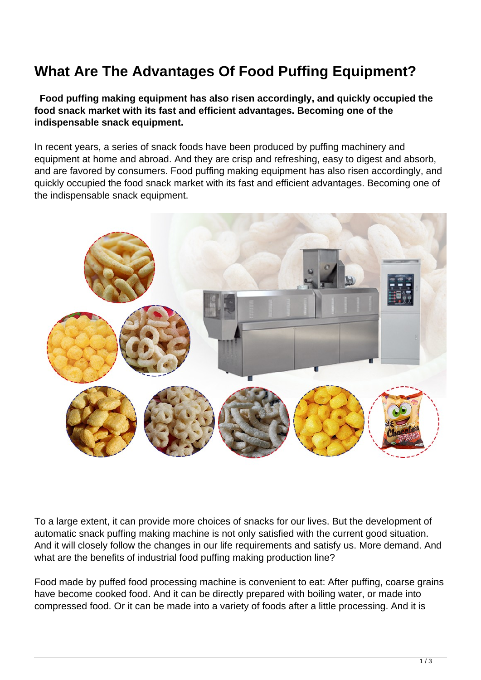## **What Are The Advantages Of Food Puffing Equipment?**

 **Food puffing making equipment has also risen accordingly, and quickly occupied the food snack market with its fast and efficient advantages. Becoming one of the indispensable snack equipment.**

In recent years, a series of snack foods have been produced by puffing machinery and equipment at home and abroad. And they are crisp and refreshing, easy to digest and absorb, and are favored by consumers. Food puffing making equipment has also risen accordingly, and quickly occupied the food snack market with its fast and efficient advantages. Becoming one of the indispensable snack equipment.



To a large extent, it can provide more choices of snacks for our lives. But the development of automatic snack puffing making machine is not only satisfied with the current good situation. And it will closely follow the changes in our life requirements and satisfy us. More demand. And what are the benefits of industrial food puffing making production line?

Food made by puffed food processing machine is convenient to eat: After puffing, coarse grains have become cooked food. And it can be directly prepared with boiling water, or made into compressed food. Or it can be made into a variety of foods after a little processing. And it is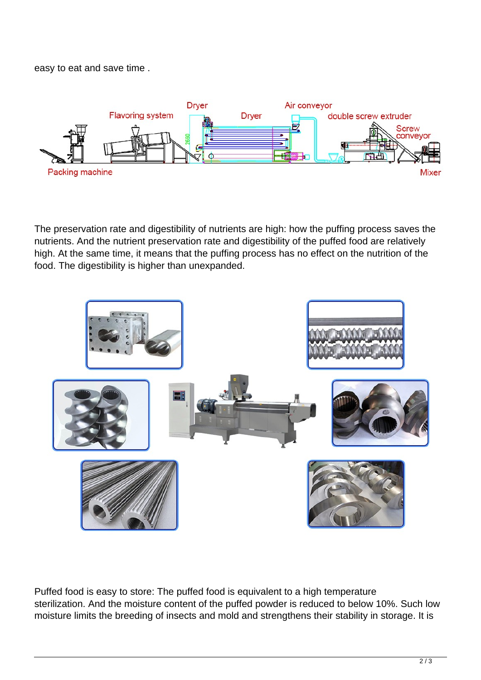easy to eat and save time .



The preservation rate and digestibility of nutrients are high: how the puffing process saves the nutrients. And the nutrient preservation rate and digestibility of the puffed food are relatively high. At the same time, it means that the puffing process has no effect on the nutrition of the food. The digestibility is higher than unexpanded.



Puffed food is easy to store: The puffed food is equivalent to a high temperature sterilization. And the moisture content of the puffed powder is reduced to below 10%. Such low moisture limits the breeding of insects and mold and strengthens their stability in storage. It is